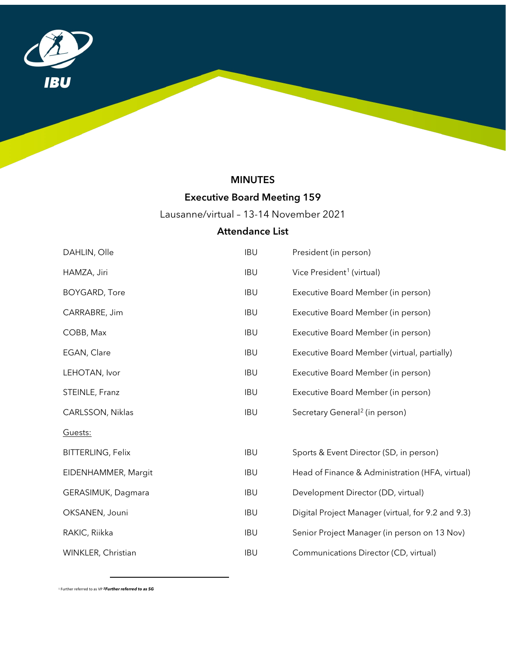

## MINUTES

# Executive Board Meeting 159

Lausanne/virtual – 13-14 November 2021

### Attendance List

| DAHLIN, Olle             | <b>IBU</b> | President (in person)                              |
|--------------------------|------------|----------------------------------------------------|
| HAMZA, Jiri              | <b>IBU</b> | Vice President <sup>1</sup> (virtual)              |
| <b>BOYGARD, Tore</b>     | <b>IBU</b> | Executive Board Member (in person)                 |
| CARRABRE, Jim            | <b>IBU</b> | Executive Board Member (in person)                 |
| COBB, Max                | <b>IBU</b> | Executive Board Member (in person)                 |
| EGAN, Clare              | <b>IBU</b> | Executive Board Member (virtual, partially)        |
| LEHOTAN, Ivor            | <b>IBU</b> | Executive Board Member (in person)                 |
| STEINLE, Franz           | <b>IBU</b> | Executive Board Member (in person)                 |
| CARLSSON, Niklas         | <b>IBU</b> | Secretary General <sup>2</sup> (in person)         |
| Guests:                  |            |                                                    |
| <b>BITTERLING, Felix</b> | <b>IBU</b> | Sports & Event Director (SD, in person)            |
| EIDENHAMMER, Margit      | <b>IBU</b> | Head of Finance & Administration (HFA, virtual)    |
| GERASIMUK, Dagmara       | <b>IBU</b> | Development Director (DD, virtual)                 |
| OKSANEN, Jouni           | <b>IBU</b> | Digital Project Manager (virtual, for 9.2 and 9.3) |
| RAKIC, Riikka            | <b>IBU</b> | Senior Project Manager (in person on 13 Nov)       |
| WINKLER, Christian       | <b>IBU</b> | Communications Director (CD, virtual)              |

<span id="page-0-1"></span><span id="page-0-0"></span><sup>1</sup> Further referred to as VP *2Further referred to as SG* 

l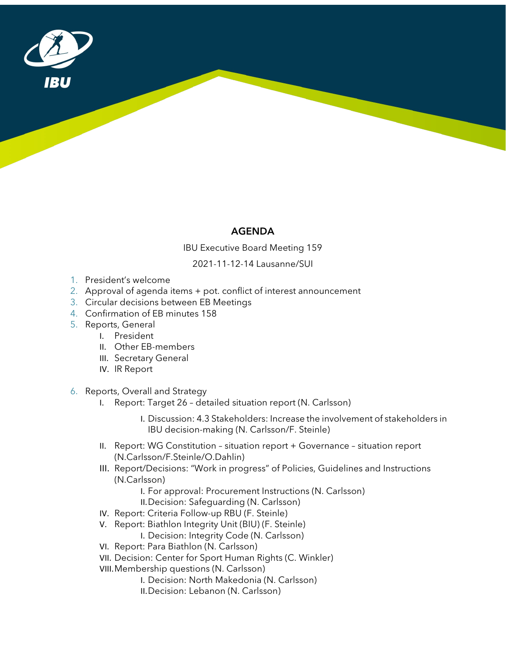

### AGENDA

IBU Executive Board Meeting 159

2021-11-12-14 Lausanne/SUI

- 1. President's welcome
- 2. Approval of agenda items + pot. conflict of interest announcement
- 3. Circular decisions between EB Meetings
- 4. Confirmation of EB minutes 158
- 5. Reports, General
	- I. President
	- II. Other EB-members
	- III. Secretary General
	- IV. IR Report
- 6. Reports, Overall and Strategy
	- I. Report: Target 26 detailed situation report (N. Carlsson)
		- I. Discussion: 4.3 Stakeholders: Increase the involvement of stakeholders in IBU decision-making (N. Carlsson/F. Steinle)
	- II. Report: WG Constitution situation report + Governance situation report (N.Carlsson/F.Steinle/O.Dahlin)
	- III. Report/Decisions: "Work in progress" of Policies, Guidelines and Instructions (N.Carlsson)
		- I. For approval: Procurement Instructions (N. Carlsson)
		- II.Decision: Safeguarding (N. Carlsson)
	- IV. Report: Criteria Follow-up RBU (F. Steinle)
	- V. Report: Biathlon Integrity Unit (BIU) (F. Steinle)
		- I. Decision: Integrity Code (N. Carlsson)
	- VI. Report: Para Biathlon (N. Carlsson)
	- VII. Decision: Center for Sport Human Rights (C. Winkler)
	- VIII.Membership questions (N. Carlsson)
		- I. Decision: North Makedonia (N. Carlsson)
		- II.Decision: Lebanon (N. Carlsson)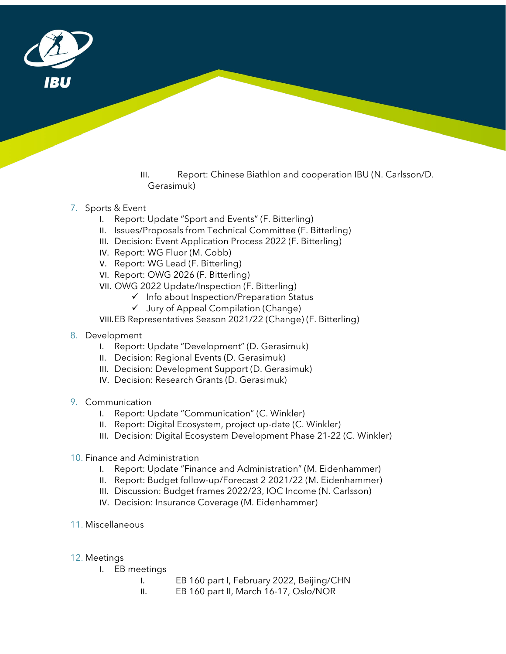

III. Report: Chinese Biathlon and cooperation IBU (N. Carlsson/D. Gerasimuk)

#### 7. Sports & Event

- I. Report: Update "Sport and Events" (F. Bitterling)
- II. Issues/Proposals from Technical Committee (F. Bitterling)
- III. Decision: Event Application Process 2022 (F. Bitterling)
- IV. Report: WG Fluor (M. Cobb)
- V. Report: WG Lead (F. Bitterling)
- VI. Report: OWG 2026 (F. Bitterling)
- VII. OWG 2022 Update/Inspection (F. Bitterling)
	- $\checkmark$  Info about Inspection/Preparation Status
		- $\checkmark$  Jury of Appeal Compilation (Change)

VIII.EB Representatives Season 2021/22 (Change) (F. Bitterling)

- 8. Development
	- I. Report: Update "Development" (D. Gerasimuk)
	- II. Decision: Regional Events (D. Gerasimuk)
	- III. Decision: Development Support (D. Gerasimuk)
	- IV. Decision: Research Grants (D. Gerasimuk)
- 9. Communication
	- I. Report: Update "Communication" (C. Winkler)
	- II. Report: Digital Ecosystem, project up-date (C. Winkler)
	- III. Decision: Digital Ecosystem Development Phase 21-22 (C. Winkler)
- 10. Finance and Administration
	- I. Report: Update "Finance and Administration" (M. Eidenhammer)
	- II. Report: Budget follow-up/Forecast 2 2021/22 (M. Eidenhammer)
	- III. Discussion: Budget frames 2022/23, IOC Income (N. Carlsson)
	- IV. Decision: Insurance Coverage (M. Eidenhammer)
- 11. Miscellaneous
- 12. Meetings
	- I. EB meetings
		- I. EB 160 part I, February 2022, Beijing/CHN
		- II. EB 160 part II, March 16-17, Oslo/NOR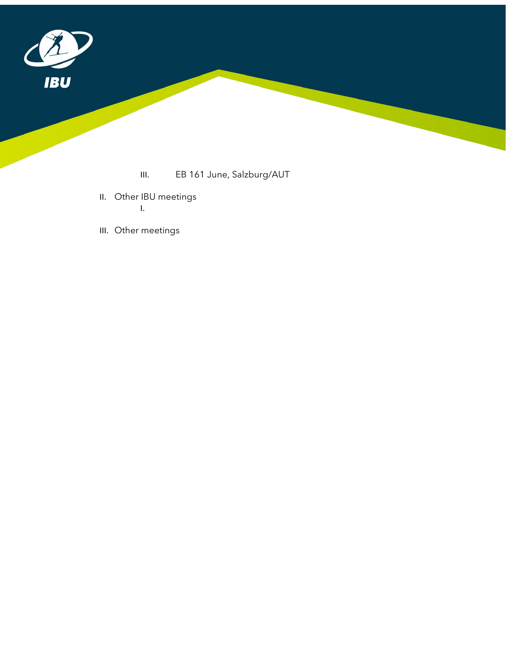

- III. EB 161 June, Salzburg/AUT
- II. Other IBU meetings I.
- III. Other meetings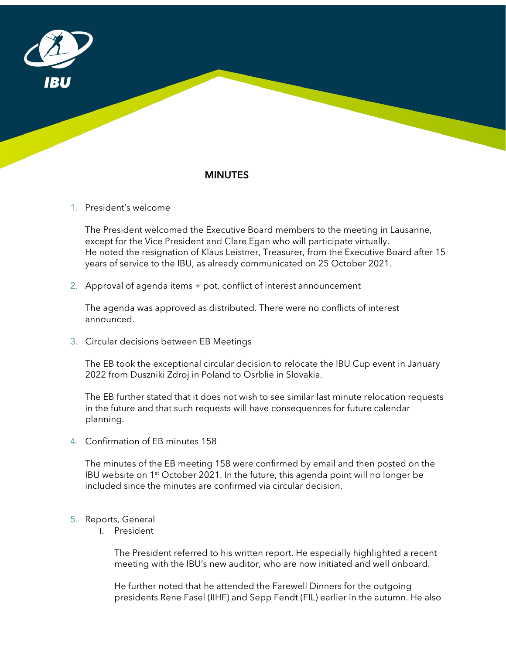

### MINUTES

1. President's welcome

The President welcomed the Executive Board members to the meeting in Lausanne, except for the Vice President and Clare Egan who will participate virtually. He noted the resignation of Klaus Leistner, Treasurer, from the Executive Board after 15 years of service to the IBU, as already communicated on 25 October 2021.

2. Approval of agenda items + pot. conflict of interest announcement

The agenda was approved as distributed. There were no conflicts of interest announced.

3. Circular decisions between EB Meetings

The EB took the exceptional circular decision to relocate the IBU Cup event in January 2022 from Duszniki Zdroj in Poland to Osrblie in Slovakia.

The EB further stated that it does not wish to see similar last minute relocation requests in the future and that such requests will have consequences for future calendar planning.

4. Confirmation of EB minutes 158

The minutes of the EB meeting 158 were confirmed by email and then posted on the IBU website on  $1<sup>st</sup>$  October 2021. In the future, this agenda point will no longer be included since the minutes are confirmed via circular decision.

- 5. Reports, General
	- I. President

The President referred to his written report. He especially highlighted a recent meeting with the IBU's new auditor, who are now initiated and well onboard.

He further noted that he attended the Farewell Dinners for the outgoing presidents Rene Fasel (IIHF) and Sepp Fendt (FIL) earlier in the autumn. He also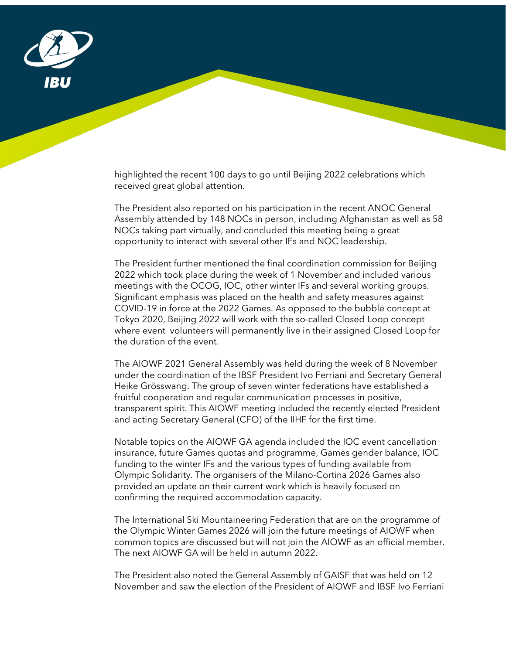

highlighted the recent 100 days to go until Beijing 2022 celebrations which received great global attention.

The President also reported on his participation in the recent ANOC General Assembly attended by 148 NOCs in person, including Afghanistan as well as 58 NOCs taking part virtually, and concluded this meeting being a great opportunity to interact with several other IFs and NOC leadership.

The President further mentioned the final coordination commission for Beijing 2022 which took place during the week of 1 November and included various meetings with the OCOG, IOC, other winter IFs and several working groups. Significant emphasis was placed on the health and safety measures against COVID-19 in force at the 2022 Games. As opposed to the bubble concept at Tokyo 2020, Beijing 2022 will work with the so-called Closed Loop concept where event volunteers will permanently live in their assigned Closed Loop for the duration of the event.

The AIOWF 2021 General Assembly was held during the week of 8 November under the coordination of the IBSF President Ivo Ferriani and Secretary General Heike Grösswang. The group of seven winter federations have established a fruitful cooperation and regular communication processes in positive, transparent spirit. This AIOWF meeting included the recently elected President and acting Secretary General (CFO) of the IIHF for the first time.

Notable topics on the AIOWF GA agenda included the IOC event cancellation insurance, future Games quotas and programme, Games gender balance, IOC funding to the winter IFs and the various types of funding available from Olympic Solidarity. The organisers of the Milano-Cortina 2026 Games also provided an update on their current work which is heavily focused on confirming the required accommodation capacity.

The International Ski Mountaineering Federation that are on the programme of the Olympic Winter Games 2026 will join the future meetings of AIOWF when common topics are discussed but will not join the AIOWF as an official member. The next AIOWF GA will be held in autumn 2022.

The President also noted the General Assembly of GAISF that was held on 12 November and saw the election of the President of AIOWF and IBSF Ivo Ferriani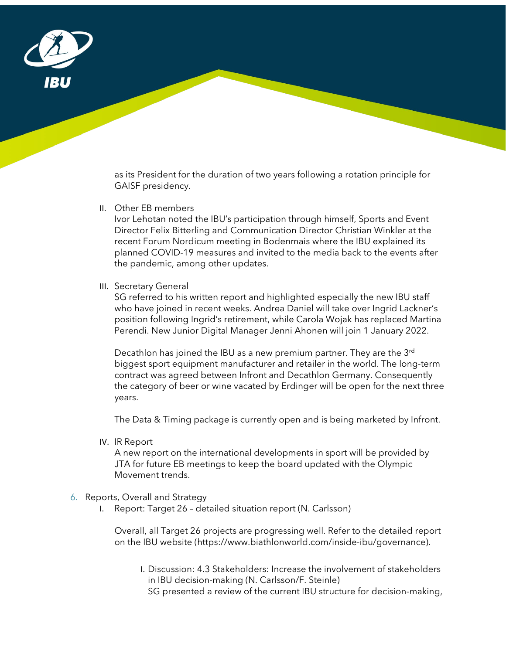

as its President for the duration of two years following a rotation principle for GAISF presidency.

II. Other EB members

Ivor Lehotan noted the IBU's participation through himself, Sports and Event Director Felix Bitterling and Communication Director Christian Winkler at the recent Forum Nordicum meeting in Bodenmais where the IBU explained its planned COVID-19 measures and invited to the media back to the events after the pandemic, among other updates.

III. Secretary General

SG referred to his written report and highlighted especially the new IBU staff who have joined in recent weeks. Andrea Daniel will take over Ingrid Lackner's position following Ingrid's retirement, while Carola Wojak has replaced Martina Perendi. New Junior Digital Manager Jenni Ahonen will join 1 January 2022.

Decathlon has joined the IBU as a new premium partner. They are the 3rd biggest sport equipment manufacturer and retailer in the world. The long-term contract was agreed between Infront and Decathlon Germany. Consequently the category of beer or wine vacated by Erdinger will be open for the next three years.

The Data & Timing package is currently open and is being marketed by Infront.

IV. IR Report

A new report on the international developments in sport will be provided by JTA for future EB meetings to keep the board updated with the Olympic Movement trends.

#### 6. Reports, Overall and Strategy

I. Report: Target 26 – detailed situation report (N. Carlsson)

Overall, all Target 26 projects are progressing well. Refer to the detailed report on the IBU website (https://www.biathlonworld.com/inside-ibu/governance).

I. Discussion: 4.3 Stakeholders: Increase the involvement of stakeholders in IBU decision-making (N. Carlsson/F. Steinle) SG presented a review of the current IBU structure for decision-making,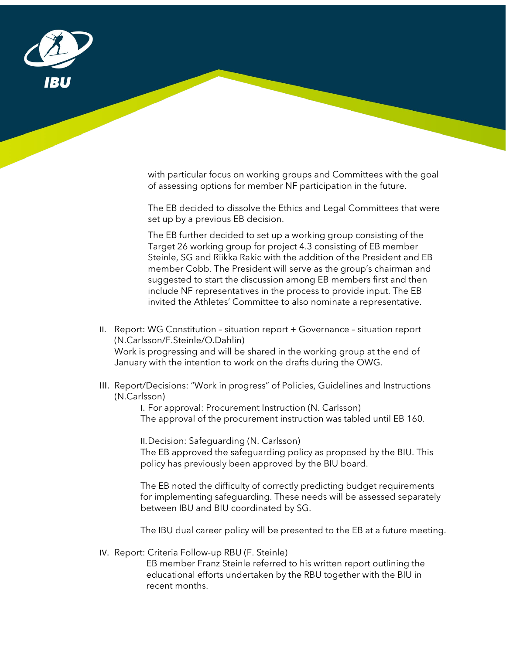

with particular focus on working groups and Committees with the goal of assessing options for member NF participation in the future.

The EB decided to dissolve the Ethics and Legal Committees that were set up by a previous EB decision.

The EB further decided to set up a working group consisting of the Target 26 working group for project 4.3 consisting of EB member Steinle, SG and Riikka Rakic with the addition of the President and EB member Cobb. The President will serve as the group's chairman and suggested to start the discussion among EB members first and then include NF representatives in the process to provide input. The EB invited the Athletes' Committee to also nominate a representative.

- II. Report: WG Constitution situation report + Governance situation report (N.Carlsson/F.Steinle/O.Dahlin) Work is progressing and will be shared in the working group at the end of January with the intention to work on the drafts during the OWG.
- III. Report/Decisions: "Work in progress" of Policies, Guidelines and Instructions (N.Carlsson)

I. For approval: Procurement Instruction (N. Carlsson) The approval of the procurement instruction was tabled until EB 160.

II.Decision: Safeguarding (N. Carlsson)

The EB approved the safeguarding policy as proposed by the BIU. This policy has previously been approved by the BIU board.

The EB noted the difficulty of correctly predicting budget requirements for implementing safeguarding. These needs will be assessed separately between IBU and BIU coordinated by SG.

The IBU dual career policy will be presented to the EB at a future meeting.

IV. Report: Criteria Follow-up RBU (F. Steinle)

EB member Franz Steinle referred to his written report outlining the educational efforts undertaken by the RBU together with the BIU in recent months.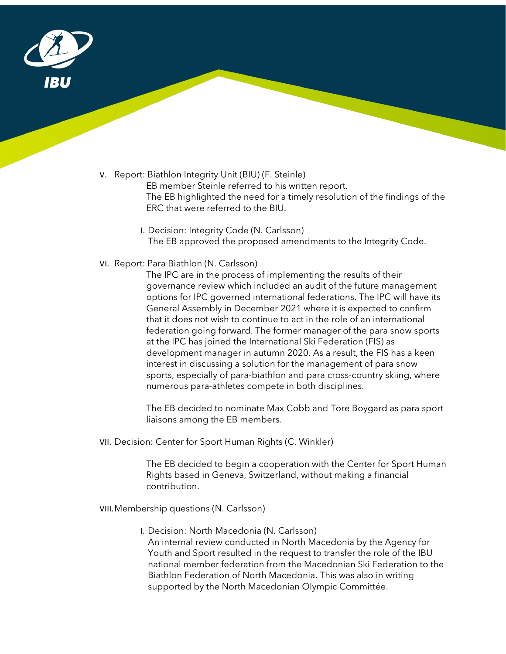

V. Report: Biathlon Integrity Unit (BIU) (F. Steinle)

EB member Steinle referred to his written report. The EB highlighted the need for a timely resolution of the findings of the ERC that were referred to the BIU.

- I. Decision: Integrity Code (N. Carlsson) The EB approved the proposed amendments to the Integrity Code.
- VI. Report: Para Biathlon (N. Carlsson)

The IPC are in the process of implementing the results of their governance review which included an audit of the future management options for IPC governed international federations. The IPC will have its General Assembly in December 2021 where it is expected to confirm that it does not wish to continue to act in the role of an international federation going forward. The former manager of the para snow sports at the IPC has joined the International Ski Federation (FIS) as development manager in autumn 2020. As a result, the FIS has a keen interest in discussing a solution for the management of para snow sports, especially of para-biathlon and para cross-country skiing, where numerous para-athletes compete in both disciplines.

The EB decided to nominate Max Cobb and Tore Boygard as para sport liaisons among the EB members.

VII. Decision: Center for Sport Human Rights (C. Winkler)

The EB decided to begin a cooperation with the Center for Sport Human Rights based in Geneva, Switzerland, without making a financial contribution.

VIII.Membership questions (N. Carlsson)

I. Decision: North Macedonia (N. Carlsson)

An internal review conducted in North Macedonia by the Agency for Youth and Sport resulted in the request to transfer the role of the IBU national member federation from the Macedonian Ski Federation to the Biathlon Federation of North Macedonia. This was also in writing supported by the North Macedonian Olympic Committée.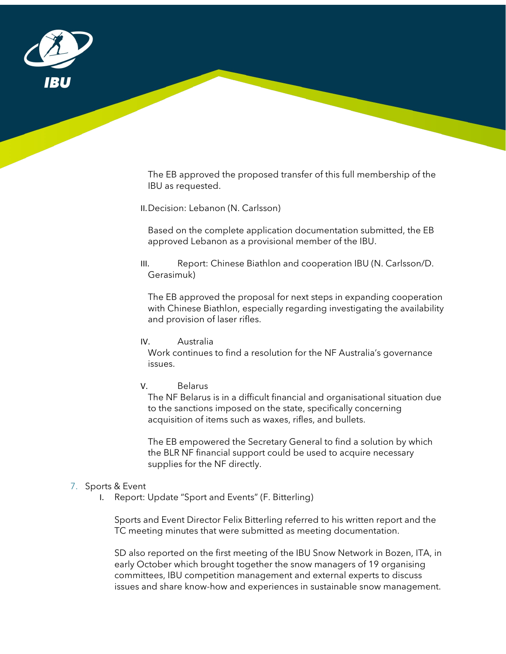

The EB approved the proposed transfer of this full membership of the IBU as requested.

II.Decision: Lebanon (N. Carlsson)

Based on the complete application documentation submitted, the EB approved Lebanon as a provisional member of the IBU.

#### III. Report: Chinese Biathlon and cooperation IBU (N. Carlsson/D. Gerasimuk)

The EB approved the proposal for next steps in expanding cooperation with Chinese Biathlon, especially regarding investigating the availability and provision of laser rifles.

#### IV. Australia

Work continues to find a resolution for the NF Australia's governance issues.

#### V. Belarus

The NF Belarus is in a difficult financial and organisational situation due to the sanctions imposed on the state, specifically concerning acquisition of items such as waxes, rifles, and bullets.

The EB empowered the Secretary General to find a solution by which the BLR NF financial support could be used to acquire necessary supplies for the NF directly.

#### 7. Sports & Event

I. Report: Update "Sport and Events" (F. Bitterling)

Sports and Event Director Felix Bitterling referred to his written report and the TC meeting minutes that were submitted as meeting documentation.

SD also reported on the first meeting of the IBU Snow Network in Bozen, ITA, in early October which brought together the snow managers of 19 organising committees, IBU competition management and external experts to discuss issues and share know-how and experiences in sustainable snow management.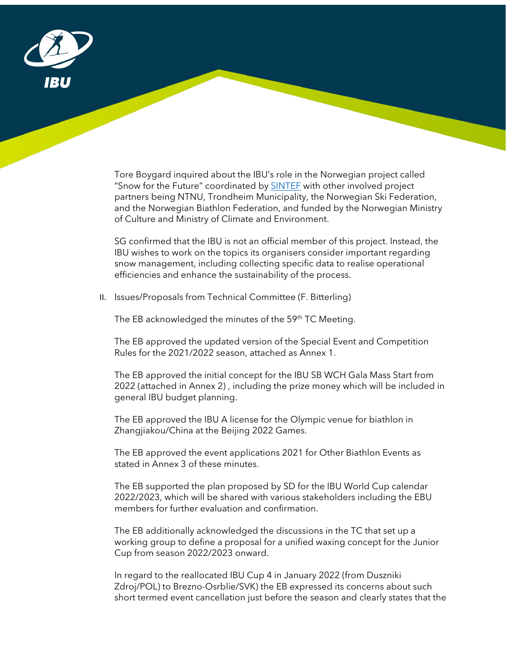

Tore Boygard inquired about the IBU's role in the Norwegian project called "Snow for the Future" coordinated by **SINTEF** with other involved project partners being NTNU, Trondheim Municipality, the Norwegian Ski Federation, and the Norwegian Biathlon Federation, and funded by the Norwegian Ministry of Culture and Ministry of Climate and Environment.

SG confirmed that the IBU is not an official member of this project. Instead, the IBU wishes to work on the topics its organisers consider important regarding snow management, including collecting specific data to realise operational efficiencies and enhance the sustainability of the process.

II. Issues/Proposals from Technical Committee (F. Bitterling)

The EB acknowledged the minutes of the 59<sup>th</sup> TC Meeting.

The EB approved the updated version of the Special Event and Competition Rules for the 2021/2022 season, attached as Annex 1.

The EB approved the initial concept for the IBU SB WCH Gala Mass Start from 2022 (attached in Annex 2) , including the prize money which will be included in general IBU budget planning.

The EB approved the IBU A license for the Olympic venue for biathlon in Zhangjiakou/China at the Beijing 2022 Games.

The EB approved the event applications 2021 for Other Biathlon Events as stated in Annex 3 of these minutes.

The EB supported the plan proposed by SD for the IBU World Cup calendar 2022/2023, which will be shared with various stakeholders including the EBU members for further evaluation and confirmation.

The EB additionally acknowledged the discussions in the TC that set up a working group to define a proposal for a unified waxing concept for the Junior Cup from season 2022/2023 onward.

In regard to the reallocated IBU Cup 4 in January 2022 (from Duszniki Zdroj/POL) to Brezno-Osrblie/SVK) the EB expressed its concerns about such short termed event cancellation just before the season and clearly states that the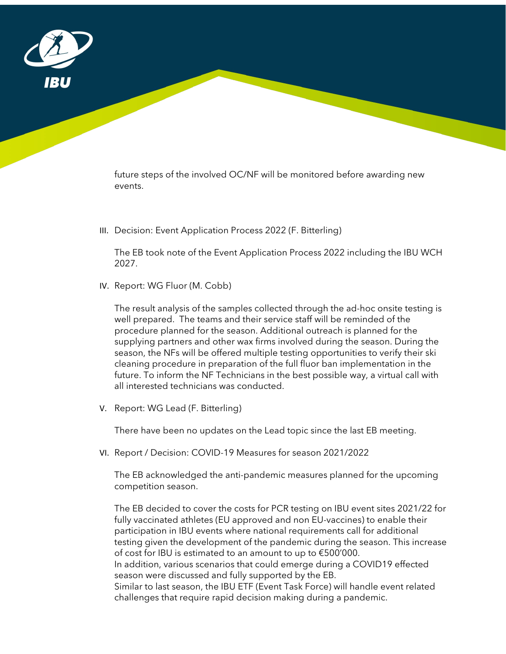

future steps of the involved OC/NF will be monitored before awarding new events.

III. Decision: Event Application Process 2022 (F. Bitterling)

The EB took note of the Event Application Process 2022 including the IBU WCH 2027.

IV. Report: WG Fluor (M. Cobb)

The result analysis of the samples collected through the ad-hoc onsite testing is well prepared. The teams and their service staff will be reminded of the procedure planned for the season. Additional outreach is planned for the supplying partners and other wax firms involved during the season. During the season, the NFs will be offered multiple testing opportunities to verify their ski cleaning procedure in preparation of the full fluor ban implementation in the future. To inform the NF Technicians in the best possible way, a virtual call with all interested technicians was conducted.

V. Report: WG Lead (F. Bitterling)

There have been no updates on the Lead topic since the last EB meeting.

VI. Report / Decision: COVID-19 Measures for season 2021/2022

The EB acknowledged the anti-pandemic measures planned for the upcoming competition season.

The EB decided to cover the costs for PCR testing on IBU event sites 2021/22 for fully vaccinated athletes (EU approved and non EU-vaccines) to enable their participation in IBU events where national requirements call for additional testing given the development of the pandemic during the season. This increase of cost for IBU is estimated to an amount to up to €500'000. In addition, various scenarios that could emerge during a COVID19 effected season were discussed and fully supported by the EB.

Similar to last season, the IBU ETF (Event Task Force) will handle event related challenges that require rapid decision making during a pandemic.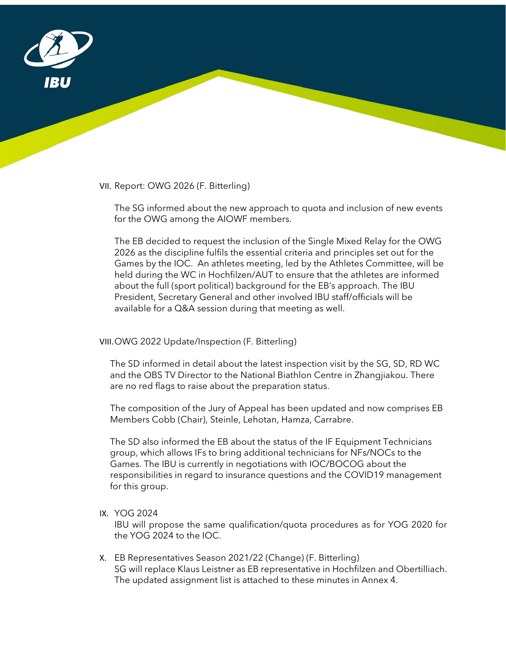

VII. Report: OWG 2026 (F. Bitterling)

The SG informed about the new approach to quota and inclusion of new events for the OWG among the AIOWF members.

The EB decided to request the inclusion of the Single Mixed Relay for the OWG 2026 as the discipline fulfils the essential criteria and principles set out for the Games by the IOC. An athletes meeting, led by the Athletes Committee, will be held during the WC in Hochfilzen/AUT to ensure that the athletes are informed about the full (sport political) background for the EB's approach. The IBU President, Secretary General and other involved IBU staff/officials will be available for a Q&A session during that meeting as well.

#### VIII.OWG 2022 Update/Inspection (F. Bitterling)

The SD informed in detail about the latest inspection visit by the SG, SD, RD WC and the OBS TV Director to the National Biathlon Centre in Zhangjiakou. There are no red flags to raise about the preparation status.

The composition of the Jury of Appeal has been updated and now comprises EB Members Cobb (Chair), Steinle, Lehotan, Hamza, Carrabre.

The SD also informed the EB about the status of the IF Equipment Technicians group, which allows IFs to bring additional technicians for NFs/NOCs to the Games. The IBU is currently in negotiations with IOC/BOCOG about the responsibilities in regard to insurance questions and the COVID19 management for this group.

#### IX. YOG 2024

IBU will propose the same qualification/quota procedures as for YOG 2020 for the YOG 2024 to the IOC.

X. EB Representatives Season 2021/22 (Change) (F. Bitterling) SG will replace Klaus Leistner as EB representative in Hochfilzen and Obertilliach. The updated assignment list is attached to these minutes in Annex 4.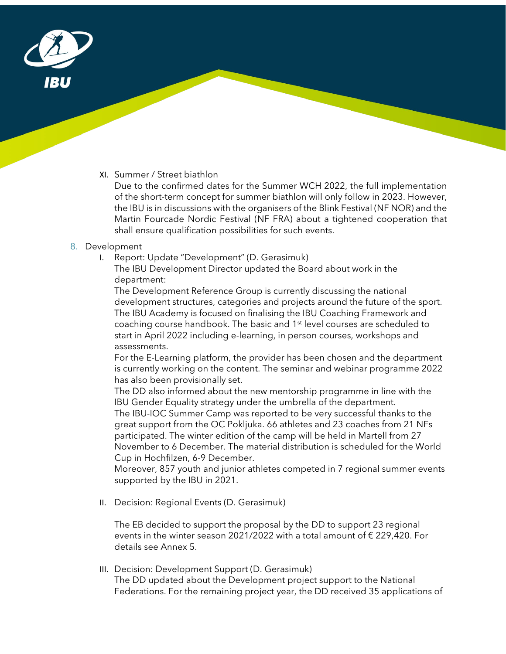

XI. Summer / Street biathlon

Due to the confirmed dates for the Summer WCH 2022, the full implementation of the short-term concept for summer biathlon will only follow in 2023. However, the IBU is in discussions with the organisers of the Blink Festival (NF NOR) and the Martin Fourcade Nordic Festival (NF FRA) about a tightened cooperation that shall ensure qualification possibilities for such events.

#### 8. Development

I. Report: Update "Development" (D. Gerasimuk)

The IBU Development Director updated the Board about work in the department:

The Development Reference Group is currently discussing the national development structures, categories and projects around the future of the sport. The IBU Academy is focused on finalising the IBU Coaching Framework and coaching course handbook. The basic and 1<sup>st</sup> level courses are scheduled to start in April 2022 including e-learning, in person courses, workshops and assessments.

For the E-Learning platform, the provider has been chosen and the department is currently working on the content. The seminar and webinar programme 2022 has also been provisionally set.

The DD also informed about the new mentorship programme in line with the IBU Gender Equality strategy under the umbrella of the department.

The IBU-IOC Summer Camp was reported to be very successful thanks to the great support from the OC Pokljuka. 66 athletes and 23 coaches from 21 NFs participated. The winter edition of the camp will be held in Martell from 27 November to 6 December. The material distribution is scheduled for the World Cup in Hochfilzen, 6-9 December.

Moreover, 857 youth and junior athletes competed in 7 regional summer events supported by the IBU in 2021.

II. Decision: Regional Events (D. Gerasimuk)

The EB decided to support the proposal by the DD to support 23 regional events in the winter season 2021/2022 with a total amount of  $\epsilon$  229,420. For details see Annex 5.

III. Decision: Development Support (D. Gerasimuk) The DD updated about the Development project support to the National Federations. For the remaining project year, the DD received 35 applications of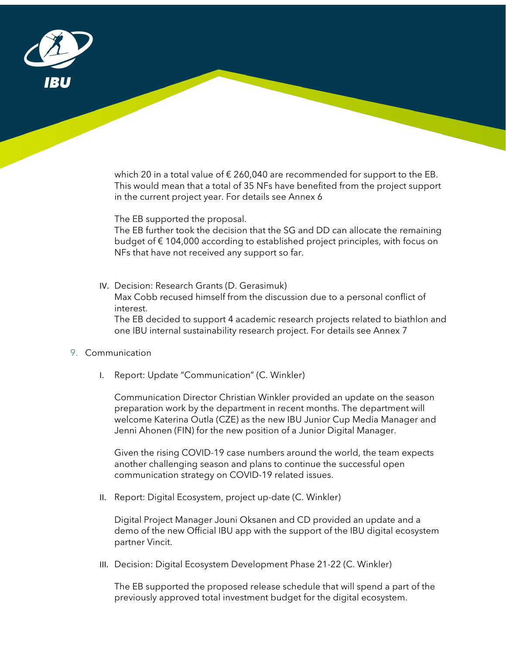

which 20 in a total value of  $\epsilon$  260,040 are recommended for support to the EB. This would mean that a total of 35 NFs have benefited from the project support in the current project year. For details see Annex 6

The EB supported the proposal.

The EB further took the decision that the SG and DD can allocate the remaining budget of € 104,000 according to established project principles, with focus on NFs that have not received any support so far.

IV. Decision: Research Grants (D. Gerasimuk) Max Cobb recused himself from the discussion due to a personal conflict of

interest. The EB decided to support 4 academic research projects related to biathlon and one IBU internal sustainability research project. For details see Annex 7

#### 9. Communication

I. Report: Update "Communication" (C. Winkler)

Communication Director Christian Winkler provided an update on the season preparation work by the department in recent months. The department will welcome Katerina Outla (CZE) as the new IBU Junior Cup Media Manager and Jenni Ahonen (FIN) for the new position of a Junior Digital Manager.

Given the rising COVID-19 case numbers around the world, the team expects another challenging season and plans to continue the successful open communication strategy on COVID-19 related issues.

II. Report: Digital Ecosystem, project up-date (C. Winkler)

Digital Project Manager Jouni Oksanen and CD provided an update and a demo of the new Official IBU app with the support of the IBU digital ecosystem partner Vincit.

III. Decision: Digital Ecosystem Development Phase 21-22 (C. Winkler)

The EB supported the proposed release schedule that will spend a part of the previously approved total investment budget for the digital ecosystem.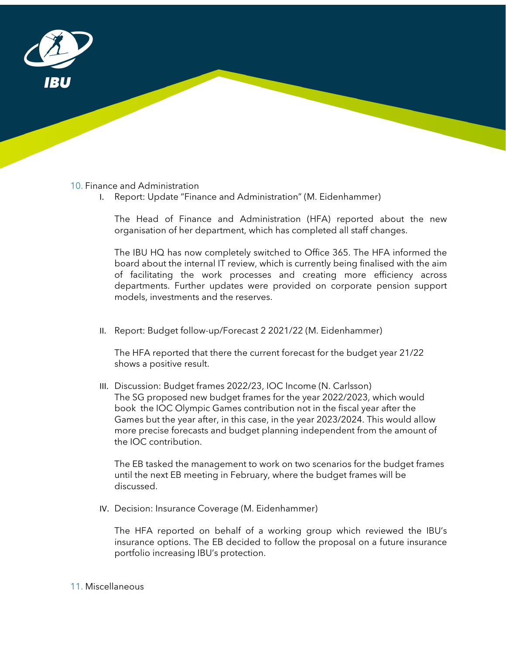

#### 10. Finance and Administration

I. Report: Update "Finance and Administration" (M. Eidenhammer)

The Head of Finance and Administration (HFA) reported about the new organisation of her department, which has completed all staff changes.

The IBU HQ has now completely switched to Office 365. The HFA informed the board about the internal IT review, which is currently being finalised with the aim of facilitating the work processes and creating more efficiency across departments. Further updates were provided on corporate pension support models, investments and the reserves.

II. Report: Budget follow-up/Forecast 2 2021/22 (M. Eidenhammer)

The HFA reported that there the current forecast for the budget year 21/22 shows a positive result.

III. Discussion: Budget frames 2022/23, IOC Income (N. Carlsson) The SG proposed new budget frames for the year 2022/2023, which would book the IOC Olympic Games contribution not in the fiscal year after the Games but the year after, in this case, in the year 2023/2024. This would allow more precise forecasts and budget planning independent from the amount of the IOC contribution.

The EB tasked the management to work on two scenarios for the budget frames until the next EB meeting in February, where the budget frames will be discussed.

IV. Decision: Insurance Coverage (M. Eidenhammer)

The HFA reported on behalf of a working group which reviewed the IBU's insurance options. The EB decided to follow the proposal on a future insurance portfolio increasing IBU's protection.

#### 11. Miscellaneous